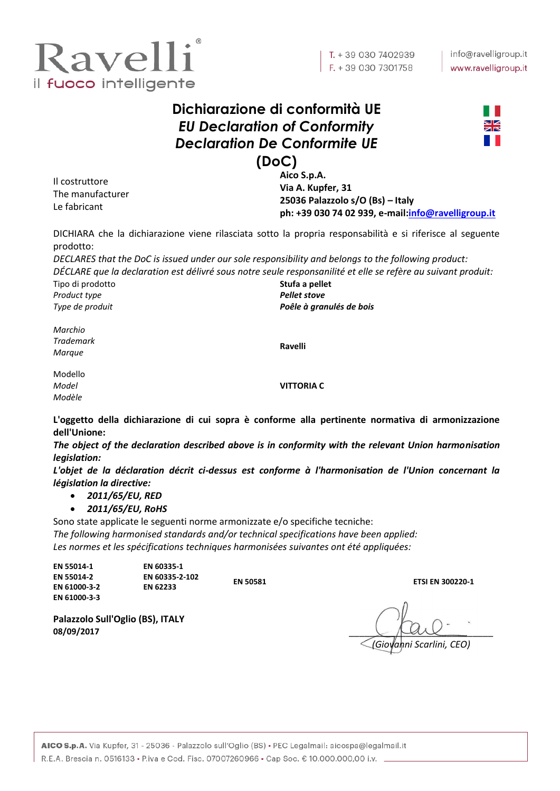

## **Dichiarazione di conformità UE** *EU Declaration of Conformity Declaration De Conformite UE* **(DoC)**



Il costruttore The manufacturer Le fabricant

**Aico S.p.A. Via A. Kupfer, 31 25036 Palazzolo s/O (Bs) – Italy ph: +39 030 74 02 939, e-mail[:info@ravelligroup.it](mailto:info@ravelligroup.it)**

DICHIARA che la dichiarazione viene rilasciata sotto la propria responsabilità e si riferisce al seguente prodotto:

*DECLARES that the DoC is issued under our sole responsibility and belongs to the following product: DÉCLARE que la declaration est délivré sous notre seule responsanilité et elle se refère au suivant produit:*

Tipo di prodotto *Product type Type de produit*

**Stufa a pellet** *Pellet stove Poêle à granulés de bois*

*Marchio Trademark Marque*

**Ravelli**

Modello *Model Modèle*

**VITTORIA C**

**L'oggetto della dichiarazione di cui sopra è conforme alla pertinente normativa di armonizzazione dell'Unione:**

*The object of the declaration described above is in conformity with the relevant Union harmonisation legislation:*

*L'objet de la déclaration décrit ci-dessus est conforme à l'harmonisation de l'Union concernant la législation la directive:*

- *2011/65/EU, RED*
- *2011/65/EU, RoHS*

Sono state applicate le seguenti norme armonizzate e/o specifiche tecniche: *The following harmonised standards and/or technical specifications have been applied: Les normes et les spécifications techniques harmonisées suivantes ont été appliquées:*

| EN 55014-1<br><b>EN 55014-2</b> | EN 60335-1<br>EN 60335-2-102 | <b>EN 50581</b> | <b>ETSI EN 300220-1</b> |
|---------------------------------|------------------------------|-----------------|-------------------------|
| EN 61000-3-2                    | <b>EN 62233</b>              |                 |                         |
| EN 61000-3-3                    |                              |                 |                         |

**08/09/2017** \_\_\_\_\_\_\_\_\_\_\_\_\_\_\_\_\_\_\_\_\_\_\_\_\_\_\_\_ *(Giovanni Scarlini, CEO)*

**Palazzolo Sull'Oglio (BS), ITALY**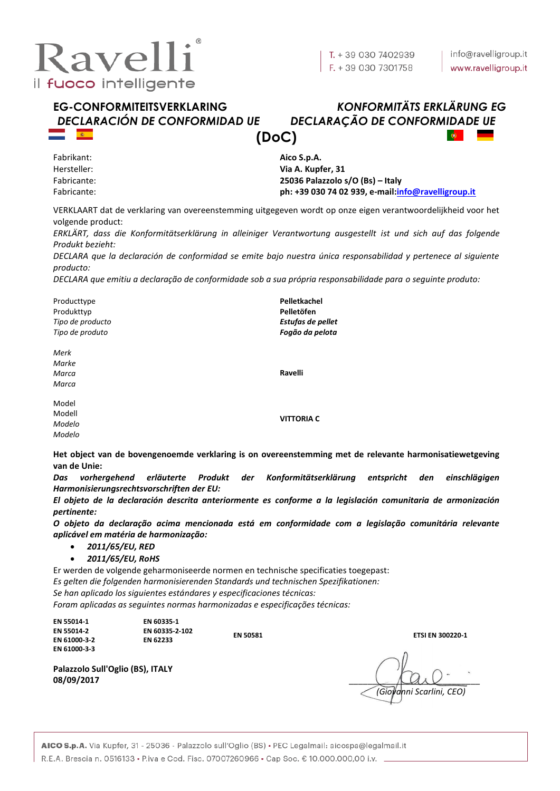

# *DECLARACIÓN DE CONFORMIDAD UE DECLARAÇÃO DE CONFORMIDADE UE*

# **EG-CONFORMITEITSVERKLARING** *KONFORMITÄTS ERKLÄRUNG EG* **(DoC)**

Fabrikant: Hersteller: Fabricante: Fabricante: **Aico S.p.A. Via A. Kupfer, 31 25036 Palazzolo s/O (Bs) – Italy ph: +39 030 74 02 939, e-mail[:info@ravelligroup.it](mailto:info@ravelligroup.it)**

VERKLAART dat de verklaring van overeenstemming uitgegeven wordt op onze eigen verantwoordelijkheid voor het volgende product:

*ERKLÄRT, dass die Konformitätserklärung in alleiniger Verantwortung ausgestellt ist und sich auf das folgende Produkt bezieht:*

*DECLARA que la declaración de conformidad se emite bajo nuestra única responsabilidad y pertenece al siguiente producto:*

*DECLARA que emitiu a declaração de conformidade sob a sua própria responsabilidade para o seguinte produto:*

Producttype Produkttyp *Tipo de producto Tipo de produto* **Pelletkachel Pelletöfen** *Estufas de pellet Fogão da pelota Merk Marke Marca Marca* **Ravelli** Model Modell *Modelo Modelo* **VITTORIA C**

**Het object van de bovengenoemde verklaring is on overeenstemming met de relevante harmonisatiewetgeving van de Unie:**

*Das vorhergehend erläuterte Produkt der Konformitätserklärung entspricht den einschlägigen Harmonisierungsrechtsvorschriften der EU:*

*El objeto de la declaración descrita anteriormente es conforme a la legislación comunitaria de armonización pertinente:*

*O objeto da declaração acima mencionada está em conformidade com a legislação comunitária relevante aplicável em matéria de harmonização:*

- *2011/65/EU, RED*
- *2011/65/EU, RoHS*

Er werden de volgende geharmoniseerde normen en technische specificaties toegepast: *Es gelten die folgenden harmonisierenden Standards und technischen Spezifikationen: Se han aplicado los siguientes estándares y especificaciones técnicas: Foram aplicadas as seguintes normas harmonizadas e especificações técnicas:*

| EN 55014-1                 | EN 60335-1                 |                 |                         |
|----------------------------|----------------------------|-----------------|-------------------------|
| EN 55014-2<br>EN 61000-3-2 | EN 60335-2-102<br>EN 62233 | <b>EN 50581</b> | <b>ETSI EN 300220-1</b> |
|                            |                            |                 |                         |

**Palazzolo Sull'Oglio (BS), ITALY**

**08/09/2017** \_\_\_\_\_\_\_\_\_\_\_\_\_\_\_\_\_\_\_\_\_\_\_\_\_\_\_\_ *(Giovanni Scarlini, CEO)*